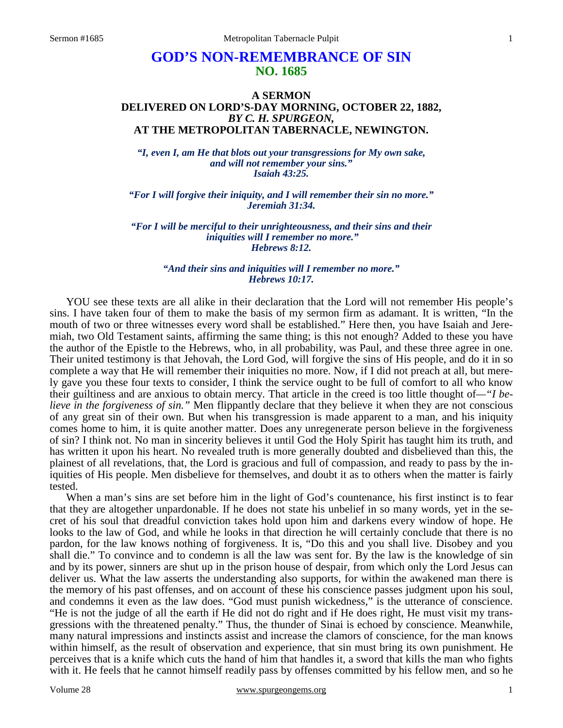# **GOD'S NON-REMEMBRANCE OF SIN NO. 1685**

### **A SERMON DELIVERED ON LORD'S-DAY MORNING, OCTOBER 22, 1882,**  *BY C. H. SPURGEON,*  **AT THE METROPOLITAN TABERNACLE, NEWINGTON.**

*"I, even I, am He that blots out your transgressions for My own sake, and will not remember your sins." Isaiah 43:25.* 

*"For I will forgive their iniquity, and I will remember their sin no more." Jeremiah 31:34.* 

*"For I will be merciful to their unrighteousness, and their sins and their iniquities will I remember no more." Hebrews 8:12.* 

> *"And their sins and iniquities will I remember no more." Hebrews 10:17.*

YOU see these texts are all alike in their declaration that the Lord will not remember His people's sins. I have taken four of them to make the basis of my sermon firm as adamant. It is written, "In the mouth of two or three witnesses every word shall be established." Here then, you have Isaiah and Jeremiah, two Old Testament saints, affirming the same thing; is this not enough? Added to these you have the author of the Epistle to the Hebrews, who, in all probability, was Paul, and these three agree in one. Their united testimony is that Jehovah, the Lord God, will forgive the sins of His people, and do it in so complete a way that He will remember their iniquities no more. Now, if I did not preach at all, but merely gave you these four texts to consider, I think the service ought to be full of comfort to all who know their guiltiness and are anxious to obtain mercy. That article in the creed is too little thought of*—"I believe in the forgiveness of sin."* Men flippantly declare that they believe it when they are not conscious of any great sin of their own. But when his transgression is made apparent to a man, and his iniquity comes home to him, it is quite another matter. Does any unregenerate person believe in the forgiveness of sin? I think not. No man in sincerity believes it until God the Holy Spirit has taught him its truth, and has written it upon his heart. No revealed truth is more generally doubted and disbelieved than this, the plainest of all revelations, that, the Lord is gracious and full of compassion, and ready to pass by the iniquities of His people. Men disbelieve for themselves, and doubt it as to others when the matter is fairly tested.

 When a man's sins are set before him in the light of God's countenance, his first instinct is to fear that they are altogether unpardonable. If he does not state his unbelief in so many words, yet in the secret of his soul that dreadful conviction takes hold upon him and darkens every window of hope. He looks to the law of God, and while he looks in that direction he will certainly conclude that there is no pardon, for the law knows nothing of forgiveness. It is, "Do this and you shall live. Disobey and you shall die." To convince and to condemn is all the law was sent for. By the law is the knowledge of sin and by its power, sinners are shut up in the prison house of despair, from which only the Lord Jesus can deliver us. What the law asserts the understanding also supports, for within the awakened man there is the memory of his past offenses, and on account of these his conscience passes judgment upon his soul, and condemns it even as the law does. "God must punish wickedness," is the utterance of conscience. "He is not the judge of all the earth if He did not do right and if He does right, He must visit my transgressions with the threatened penalty." Thus, the thunder of Sinai is echoed by conscience. Meanwhile, many natural impressions and instincts assist and increase the clamors of conscience, for the man knows within himself, as the result of observation and experience, that sin must bring its own punishment. He perceives that is a knife which cuts the hand of him that handles it, a sword that kills the man who fights with it. He feels that he cannot himself readily pass by offenses committed by his fellow men, and so he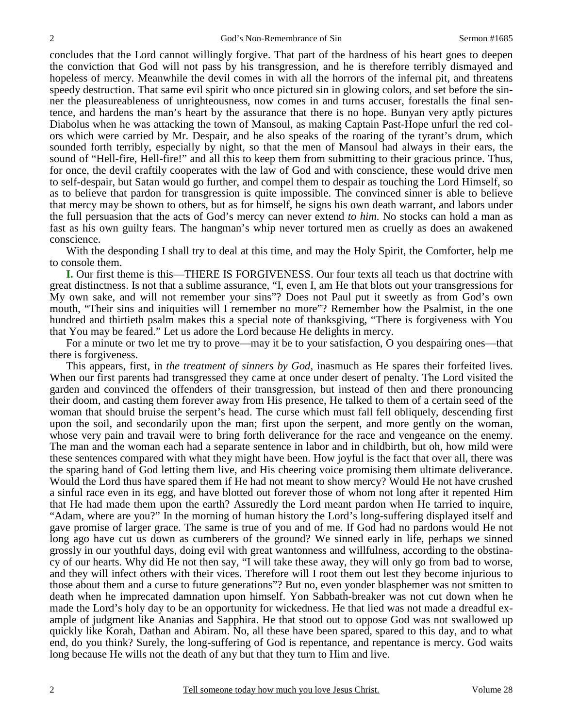concludes that the Lord cannot willingly forgive. That part of the hardness of his heart goes to deepen the conviction that God will not pass by his transgression, and he is therefore terribly dismayed and hopeless of mercy. Meanwhile the devil comes in with all the horrors of the infernal pit, and threatens speedy destruction. That same evil spirit who once pictured sin in glowing colors, and set before the sinner the pleasureableness of unrighteousness, now comes in and turns accuser, forestalls the final sentence, and hardens the man's heart by the assurance that there is no hope. Bunyan very aptly pictures Diabolus when he was attacking the town of Mansoul, as making Captain Past-Hope unfurl the red colors which were carried by Mr. Despair, and he also speaks of the roaring of the tyrant's drum, which sounded forth terribly, especially by night, so that the men of Mansoul had always in their ears, the sound of "Hell-fire, Hell-fire!" and all this to keep them from submitting to their gracious prince. Thus, for once, the devil craftily cooperates with the law of God and with conscience, these would drive men to self-despair, but Satan would go further, and compel them to despair as touching the Lord Himself, so as to believe that pardon for transgression is quite impossible. The convinced sinner is able to believe that mercy may be shown to others, but as for himself, he signs his own death warrant, and labors under the full persuasion that the acts of God's mercy can never extend *to him*. No stocks can hold a man as fast as his own guilty fears. The hangman's whip never tortured men as cruelly as does an awakened conscience.

 With the desponding I shall try to deal at this time, and may the Holy Spirit, the Comforter, help me to console them.

**I.** Our first theme is this—THERE IS FORGIVENESS. Our four texts all teach us that doctrine with great distinctness. Is not that a sublime assurance, "I, even I, am He that blots out your transgressions for My own sake, and will not remember your sins"? Does not Paul put it sweetly as from God's own mouth, "Their sins and iniquities will I remember no more"? Remember how the Psalmist, in the one hundred and thirtieth psalm makes this a special note of thanksgiving, "There is forgiveness with You that You may be feared." Let us adore the Lord because He delights in mercy.

 For a minute or two let me try to prove—may it be to your satisfaction, O you despairing ones—that there is forgiveness.

 This appears, first, in *the treatment of sinners by God,* inasmuch as He spares their forfeited lives. When our first parents had transgressed they came at once under desert of penalty. The Lord visited the garden and convinced the offenders of their transgression, but instead of then and there pronouncing their doom, and casting them forever away from His presence, He talked to them of a certain seed of the woman that should bruise the serpent's head. The curse which must fall fell obliquely, descending first upon the soil, and secondarily upon the man; first upon the serpent, and more gently on the woman, whose very pain and travail were to bring forth deliverance for the race and vengeance on the enemy. The man and the woman each had a separate sentence in labor and in childbirth, but oh, how mild were these sentences compared with what they might have been. How joyful is the fact that over all, there was the sparing hand of God letting them live, and His cheering voice promising them ultimate deliverance. Would the Lord thus have spared them if He had not meant to show mercy? Would He not have crushed a sinful race even in its egg, and have blotted out forever those of whom not long after it repented Him that He had made them upon the earth? Assuredly the Lord meant pardon when He tarried to inquire, "Adam, where are you?" In the morning of human history the Lord's long-suffering displayed itself and gave promise of larger grace. The same is true of you and of me. If God had no pardons would He not long ago have cut us down as cumberers of the ground? We sinned early in life, perhaps we sinned grossly in our youthful days, doing evil with great wantonness and willfulness, according to the obstinacy of our hearts. Why did He not then say, "I will take these away, they will only go from bad to worse, and they will infect others with their vices. Therefore will I root them out lest they become injurious to those about them and a curse to future generations"? But no, even yonder blasphemer was not smitten to death when he imprecated damnation upon himself. Yon Sabbath-breaker was not cut down when he made the Lord's holy day to be an opportunity for wickedness. He that lied was not made a dreadful example of judgment like Ananias and Sapphira. He that stood out to oppose God was not swallowed up quickly like Korah, Dathan and Abiram. No, all these have been spared, spared to this day, and to what end, do you think? Surely, the long-suffering of God is repentance, and repentance is mercy. God waits long because He wills not the death of any but that they turn to Him and live.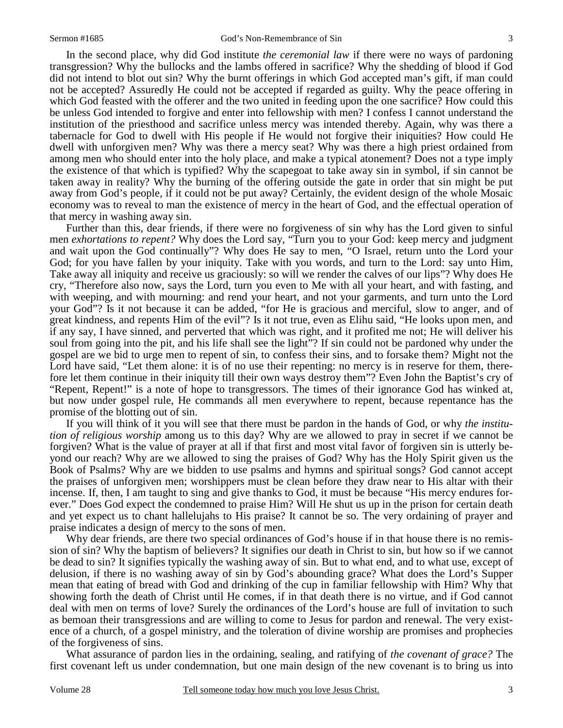In the second place, why did God institute *the ceremonial law* if there were no ways of pardoning transgression? Why the bullocks and the lambs offered in sacrifice? Why the shedding of blood if God did not intend to blot out sin? Why the burnt offerings in which God accepted man's gift, if man could not be accepted? Assuredly He could not be accepted if regarded as guilty. Why the peace offering in which God feasted with the offerer and the two united in feeding upon the one sacrifice? How could this be unless God intended to forgive and enter into fellowship with men? I confess I cannot understand the institution of the priesthood and sacrifice unless mercy was intended thereby. Again, why was there a tabernacle for God to dwell with His people if He would not forgive their iniquities? How could He dwell with unforgiven men? Why was there a mercy seat? Why was there a high priest ordained from among men who should enter into the holy place, and make a typical atonement? Does not a type imply the existence of that which is typified? Why the scapegoat to take away sin in symbol, if sin cannot be taken away in reality? Why the burning of the offering outside the gate in order that sin might be put away from God's people, if it could not be put away? Certainly, the evident design of the whole Mosaic economy was to reveal to man the existence of mercy in the heart of God, and the effectual operation of that mercy in washing away sin.

 Further than this, dear friends, if there were no forgiveness of sin why has the Lord given to sinful men *exhortations to repent?* Why does the Lord say, "Turn you to your God: keep mercy and judgment and wait upon the God continually"? Why does He say to men, "O Israel, return unto the Lord your God; for you have fallen by your iniquity. Take with you words, and turn to the Lord: say unto Him, Take away all iniquity and receive us graciously: so will we render the calves of our lips"? Why does He cry, "Therefore also now, says the Lord, turn you even to Me with all your heart, and with fasting, and with weeping, and with mourning: and rend your heart, and not your garments, and turn unto the Lord your God"? Is it not because it can be added, "for He is gracious and merciful, slow to anger, and of great kindness, and repents Him of the evil"? Is it not true, even as Elihu said, "He looks upon men, and if any say, I have sinned, and perverted that which was right, and it profited me not; He will deliver his soul from going into the pit, and his life shall see the light"? If sin could not be pardoned why under the gospel are we bid to urge men to repent of sin, to confess their sins, and to forsake them? Might not the Lord have said, "Let them alone: it is of no use their repenting: no mercy is in reserve for them, therefore let them continue in their iniquity till their own ways destroy them"? Even John the Baptist's cry of "Repent, Repent!" is a note of hope to transgressors. The times of their ignorance God has winked at, but now under gospel rule, He commands all men everywhere to repent, because repentance has the promise of the blotting out of sin.

 If you will think of it you will see that there must be pardon in the hands of God, or why *the institution of religious worship* among us to this day? Why are we allowed to pray in secret if we cannot be forgiven? What is the value of prayer at all if that first and most vital favor of forgiven sin is utterly beyond our reach? Why are we allowed to sing the praises of God? Why has the Holy Spirit given us the Book of Psalms? Why are we bidden to use psalms and hymns and spiritual songs? God cannot accept the praises of unforgiven men; worshippers must be clean before they draw near to His altar with their incense. If, then, I am taught to sing and give thanks to God, it must be because "His mercy endures forever." Does God expect the condemned to praise Him? Will He shut us up in the prison for certain death and yet expect us to chant hallelujahs to His praise? It cannot be so. The very ordaining of prayer and praise indicates a design of mercy to the sons of men.

 Why dear friends, are there two special ordinances of God's house if in that house there is no remission of sin? Why the baptism of believers? It signifies our death in Christ to sin, but how so if we cannot be dead to sin? It signifies typically the washing away of sin. But to what end, and to what use, except of delusion, if there is no washing away of sin by God's abounding grace? What does the Lord's Supper mean that eating of bread with God and drinking of the cup in familiar fellowship with Him? Why that showing forth the death of Christ until He comes, if in that death there is no virtue, and if God cannot deal with men on terms of love? Surely the ordinances of the Lord's house are full of invitation to such as bemoan their transgressions and are willing to come to Jesus for pardon and renewal. The very existence of a church, of a gospel ministry, and the toleration of divine worship are promises and prophecies of the forgiveness of sins.

 What assurance of pardon lies in the ordaining, sealing, and ratifying of *the covenant of grace?* The first covenant left us under condemnation, but one main design of the new covenant is to bring us into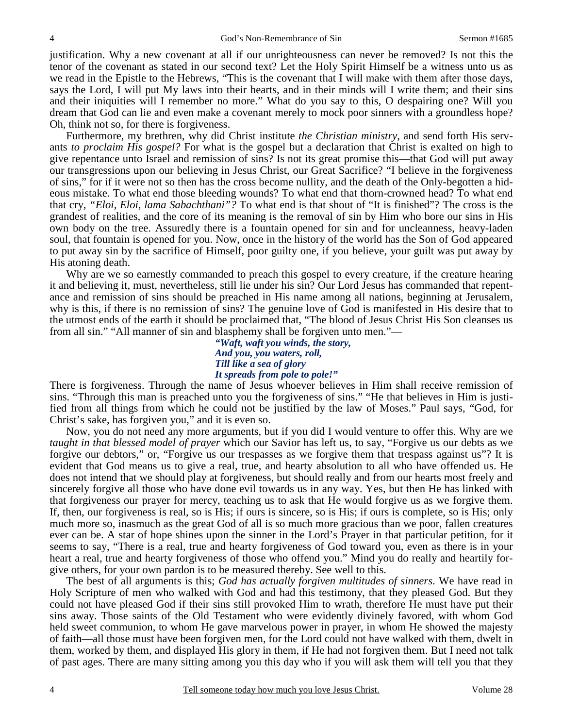justification. Why a new covenant at all if our unrighteousness can never be removed? Is not this the tenor of the covenant as stated in our second text? Let the Holy Spirit Himself be a witness unto us as we read in the Epistle to the Hebrews, "This is the covenant that I will make with them after those days, says the Lord, I will put My laws into their hearts, and in their minds will I write them; and their sins and their iniquities will I remember no more." What do you say to this, O despairing one? Will you dream that God can lie and even make a covenant merely to mock poor sinners with a groundless hope? Oh, think not so, for there is forgiveness.

 Furthermore, my brethren, why did Christ institute *the Christian ministry,* and send forth His servants *to proclaim His gospel?* For what is the gospel but a declaration that Christ is exalted on high to give repentance unto Israel and remission of sins? Is not its great promise this—that God will put away our transgressions upon our believing in Jesus Christ, our Great Sacrifice? "I believe in the forgiveness of sins," for if it were not so then has the cross become nullity, and the death of the Only-begotten a hideous mistake. To what end those bleeding wounds? To what end that thorn-crowned head? To what end that cry, *"Eloi, Eloi, lama Sabachthani"?* To what end is that shout of "It is finished"? The cross is the grandest of realities, and the core of its meaning is the removal of sin by Him who bore our sins in His own body on the tree. Assuredly there is a fountain opened for sin and for uncleanness, heavy-laden soul, that fountain is opened for you. Now, once in the history of the world has the Son of God appeared to put away sin by the sacrifice of Himself, poor guilty one, if you believe, your guilt was put away by His atoning death.

 Why are we so earnestly commanded to preach this gospel to every creature, if the creature hearing it and believing it, must, nevertheless, still lie under his sin? Our Lord Jesus has commanded that repentance and remission of sins should be preached in His name among all nations, beginning at Jerusalem, why is this, if there is no remission of sins? The genuine love of God is manifested in His desire that to the utmost ends of the earth it should be proclaimed that, "The blood of Jesus Christ His Son cleanses us from all sin." "All manner of sin and blasphemy shall be forgiven unto men."—

> *"Waft, waft you winds, the story, And you, you waters, roll, Till like a sea of glory It spreads from pole to pole!"*

There is forgiveness. Through the name of Jesus whoever believes in Him shall receive remission of sins. "Through this man is preached unto you the forgiveness of sins." "He that believes in Him is justified from all things from which he could not be justified by the law of Moses." Paul says, "God, for Christ's sake, has forgiven you," and it is even so.

 Now, you do not need any more arguments, but if you did I would venture to offer this. Why are we *taught in that blessed model of prayer* which our Savior has left us, to say, "Forgive us our debts as we forgive our debtors," or, "Forgive us our trespasses as we forgive them that trespass against us"? It is evident that God means us to give a real, true, and hearty absolution to all who have offended us. He does not intend that we should play at forgiveness, but should really and from our hearts most freely and sincerely forgive all those who have done evil towards us in any way. Yes, but then He has linked with that forgiveness our prayer for mercy, teaching us to ask that He would forgive us as we forgive them. If, then, our forgiveness is real, so is His; if ours is sincere, so is His; if ours is complete, so is His; only much more so, inasmuch as the great God of all is so much more gracious than we poor, fallen creatures ever can be. A star of hope shines upon the sinner in the Lord's Prayer in that particular petition, for it seems to say, "There is a real, true and hearty forgiveness of God toward you, even as there is in your heart a real, true and hearty forgiveness of those who offend you." Mind you do really and heartily forgive others, for your own pardon is to be measured thereby. See well to this.

 The best of all arguments is this; *God has actually forgiven multitudes of sinners*. We have read in Holy Scripture of men who walked with God and had this testimony, that they pleased God. But they could not have pleased God if their sins still provoked Him to wrath, therefore He must have put their sins away. Those saints of the Old Testament who were evidently divinely favored, with whom God held sweet communion, to whom He gave marvelous power in prayer, in whom He showed the majesty of faith—all those must have been forgiven men, for the Lord could not have walked with them, dwelt in them, worked by them, and displayed His glory in them, if He had not forgiven them. But I need not talk of past ages. There are many sitting among you this day who if you will ask them will tell you that they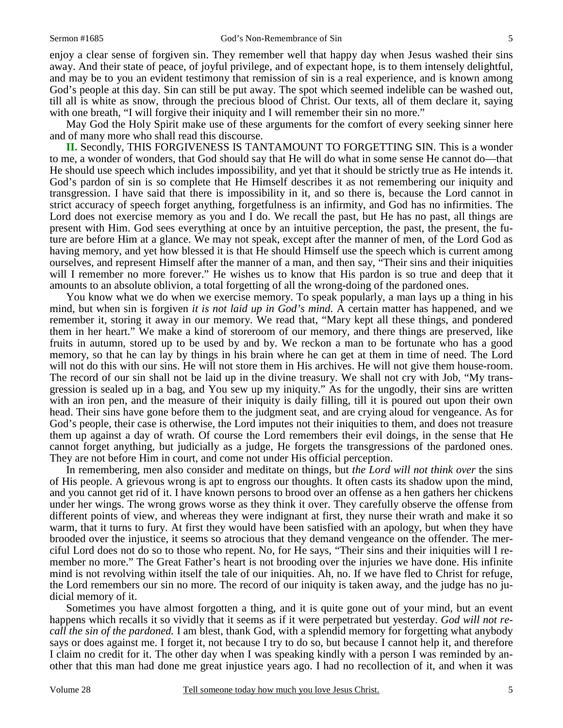enjoy a clear sense of forgiven sin. They remember well that happy day when Jesus washed their sins away. And their state of peace, of joyful privilege, and of expectant hope, is to them intensely delightful, and may be to you an evident testimony that remission of sin is a real experience, and is known among God's people at this day. Sin can still be put away. The spot which seemed indelible can be washed out, till all is white as snow, through the precious blood of Christ. Our texts, all of them declare it, saying with one breath, "I will forgive their iniquity and I will remember their sin no more."

 May God the Holy Spirit make use of these arguments for the comfort of every seeking sinner here and of many more who shall read this discourse.

**II.** Secondly, THIS FORGIVENESS IS TANTAMOUNT TO FORGETTING SIN. This is a wonder to me, a wonder of wonders, that God should say that He will do what in some sense He cannot do—that He should use speech which includes impossibility, and yet that it should be strictly true as He intends it. God's pardon of sin is so complete that He Himself describes it as not remembering our iniquity and transgression. I have said that there is impossibility in it, and so there is, because the Lord cannot in strict accuracy of speech forget anything, forgetfulness is an infirmity, and God has no infirmities. The Lord does not exercise memory as you and I do. We recall the past, but He has no past, all things are present with Him. God sees everything at once by an intuitive perception, the past, the present, the future are before Him at a glance. We may not speak, except after the manner of men, of the Lord God as having memory, and yet how blessed it is that He should Himself use the speech which is current among ourselves, and represent Himself after the manner of a man, and then say, "Their sins and their iniquities will I remember no more forever." He wishes us to know that His pardon is so true and deep that it amounts to an absolute oblivion, a total forgetting of all the wrong-doing of the pardoned ones.

 You know what we do when we exercise memory. To speak popularly, a man lays up a thing in his mind, but when sin is forgiven *it is not laid up in God's mind*. A certain matter has happened, and we remember it, storing it away in our memory. We read that, "Mary kept all these things, and pondered them in her heart." We make a kind of storeroom of our memory, and there things are preserved, like fruits in autumn, stored up to be used by and by. We reckon a man to be fortunate who has a good memory, so that he can lay by things in his brain where he can get at them in time of need. The Lord will not do this with our sins. He will not store them in His archives. He will not give them house-room. The record of our sin shall not be laid up in the divine treasury. We shall not cry with Job, "My transgression is sealed up in a bag, and You sew up my iniquity." As for the ungodly, their sins are written with an iron pen, and the measure of their iniquity is daily filling, till it is poured out upon their own head. Their sins have gone before them to the judgment seat, and are crying aloud for vengeance. As for God's people, their case is otherwise, the Lord imputes not their iniquities to them, and does not treasure them up against a day of wrath. Of course the Lord remembers their evil doings, in the sense that He cannot forget anything, but judicially as a judge, He forgets the transgressions of the pardoned ones. They are not before Him in court, and come not under His official perception.

 In remembering, men also consider and meditate on things, but *the Lord will not think over* the sins of His people. A grievous wrong is apt to engross our thoughts. It often casts its shadow upon the mind, and you cannot get rid of it. I have known persons to brood over an offense as a hen gathers her chickens under her wings. The wrong grows worse as they think it over. They carefully observe the offense from different points of view, and whereas they were indignant at first, they nurse their wrath and make it so warm, that it turns to fury. At first they would have been satisfied with an apology, but when they have brooded over the injustice, it seems so atrocious that they demand vengeance on the offender. The merciful Lord does not do so to those who repent. No, for He says, "Their sins and their iniquities will I remember no more." The Great Father's heart is not brooding over the injuries we have done. His infinite mind is not revolving within itself the tale of our iniquities. Ah, no. If we have fled to Christ for refuge, the Lord remembers our sin no more. The record of our iniquity is taken away, and the judge has no judicial memory of it.

 Sometimes you have almost forgotten a thing, and it is quite gone out of your mind, but an event happens which recalls it so vividly that it seems as if it were perpetrated but yesterday. *God will not recall the sin of the pardoned.* I am blest, thank God, with a splendid memory for forgetting what anybody says or does against me. I forget it, not because I try to do so, but because I cannot help it, and therefore I claim no credit for it. The other day when I was speaking kindly with a person I was reminded by another that this man had done me great injustice years ago. I had no recollection of it, and when it was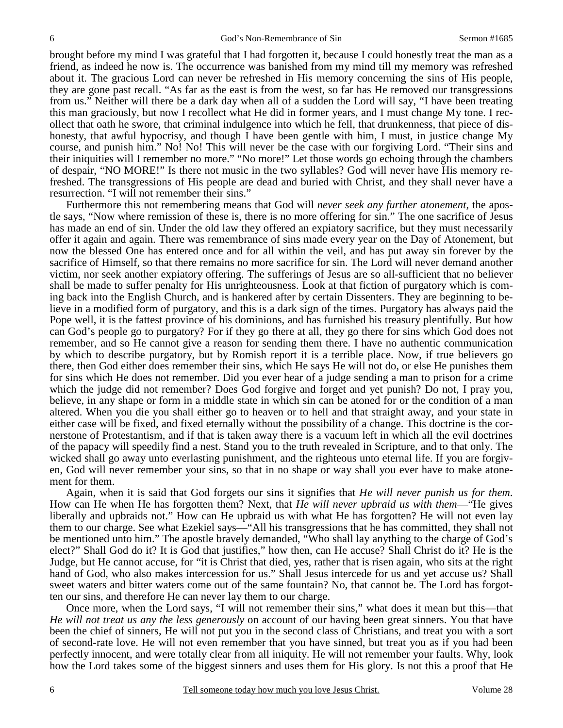brought before my mind I was grateful that I had forgotten it, because I could honestly treat the man as a friend, as indeed he now is. The occurrence was banished from my mind till my memory was refreshed about it. The gracious Lord can never be refreshed in His memory concerning the sins of His people, they are gone past recall. "As far as the east is from the west, so far has He removed our transgressions from us." Neither will there be a dark day when all of a sudden the Lord will say, "I have been treating this man graciously, but now I recollect what He did in former years, and I must change My tone. I recollect that oath he swore, that criminal indulgence into which he fell, that drunkenness, that piece of dishonesty, that awful hypocrisy, and though I have been gentle with him, I must, in justice change My course, and punish him." No! No! This will never be the case with our forgiving Lord. "Their sins and their iniquities will I remember no more." "No more!" Let those words go echoing through the chambers of despair, "NO MORE!" Is there not music in the two syllables? God will never have His memory refreshed. The transgressions of His people are dead and buried with Christ, and they shall never have a resurrection. "I will not remember their sins."

 Furthermore this not remembering means that God will *never seek any further atonement,* the apostle says, "Now where remission of these is, there is no more offering for sin." The one sacrifice of Jesus has made an end of sin. Under the old law they offered an expiatory sacrifice, but they must necessarily offer it again and again. There was remembrance of sins made every year on the Day of Atonement, but now the blessed One has entered once and for all within the veil, and has put away sin forever by the sacrifice of Himself, so that there remains no more sacrifice for sin. The Lord will never demand another victim, nor seek another expiatory offering. The sufferings of Jesus are so all-sufficient that no believer shall be made to suffer penalty for His unrighteousness. Look at that fiction of purgatory which is coming back into the English Church, and is hankered after by certain Dissenters. They are beginning to believe in a modified form of purgatory, and this is a dark sign of the times. Purgatory has always paid the Pope well, it is the fattest province of his dominions, and has furnished his treasury plentifully. But how can God's people go to purgatory? For if they go there at all, they go there for sins which God does not remember, and so He cannot give a reason for sending them there. I have no authentic communication by which to describe purgatory, but by Romish report it is a terrible place. Now, if true believers go there, then God either does remember their sins, which He says He will not do, or else He punishes them for sins which He does not remember. Did you ever hear of a judge sending a man to prison for a crime which the judge did not remember? Does God forgive and forget and yet punish? Do not, I pray you, believe, in any shape or form in a middle state in which sin can be atoned for or the condition of a man altered. When you die you shall either go to heaven or to hell and that straight away, and your state in either case will be fixed, and fixed eternally without the possibility of a change. This doctrine is the cornerstone of Protestantism, and if that is taken away there is a vacuum left in which all the evil doctrines of the papacy will speedily find a nest. Stand you to the truth revealed in Scripture, and to that only. The wicked shall go away unto everlasting punishment, and the righteous unto eternal life. If you are forgiven, God will never remember your sins, so that in no shape or way shall you ever have to make atonement for them.

 Again, when it is said that God forgets our sins it signifies that *He will never punish us for them*. How can He when He has forgotten them? Next, that *He will never upbraid us with them*—"He gives liberally and upbraids not." How can He upbraid us with what He has forgotten? He will not even lay them to our charge. See what Ezekiel says—"All his transgressions that he has committed, they shall not be mentioned unto him." The apostle bravely demanded, "Who shall lay anything to the charge of God's elect?" Shall God do it? It is God that justifies," how then, can He accuse? Shall Christ do it? He is the Judge, but He cannot accuse, for "it is Christ that died, yes, rather that is risen again, who sits at the right hand of God, who also makes intercession for us." Shall Jesus intercede for us and yet accuse us? Shall sweet waters and bitter waters come out of the same fountain? No, that cannot be. The Lord has forgotten our sins, and therefore He can never lay them to our charge.

 Once more, when the Lord says, "I will not remember their sins," what does it mean but this—that *He will not treat us any the less generously* on account of our having been great sinners. You that have been the chief of sinners, He will not put you in the second class of Christians, and treat you with a sort of second-rate love. He will not even remember that you have sinned, but treat you as if you had been perfectly innocent, and were totally clear from all iniquity. He will not remember your faults. Why, look how the Lord takes some of the biggest sinners and uses them for His glory. Is not this a proof that He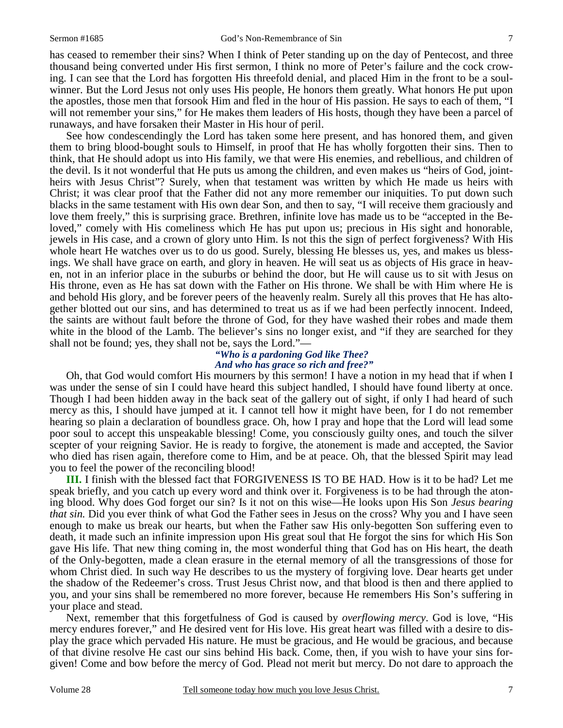has ceased to remember their sins? When I think of Peter standing up on the day of Pentecost, and three thousand being converted under His first sermon, I think no more of Peter's failure and the cock crowing. I can see that the Lord has forgotten His threefold denial, and placed Him in the front to be a soulwinner. But the Lord Jesus not only uses His people, He honors them greatly. What honors He put upon the apostles, those men that forsook Him and fled in the hour of His passion. He says to each of them, "I will not remember your sins," for He makes them leaders of His hosts, though they have been a parcel of runaways, and have forsaken their Master in His hour of peril.

 See how condescendingly the Lord has taken some here present, and has honored them, and given them to bring blood-bought souls to Himself, in proof that He has wholly forgotten their sins. Then to think, that He should adopt us into His family, we that were His enemies, and rebellious, and children of the devil. Is it not wonderful that He puts us among the children, and even makes us "heirs of God, jointheirs with Jesus Christ"? Surely, when that testament was written by which He made us heirs with Christ; it was clear proof that the Father did not any more remember our iniquities. To put down such blacks in the same testament with His own dear Son, and then to say, "I will receive them graciously and love them freely," this is surprising grace. Brethren, infinite love has made us to be "accepted in the Beloved," comely with His comeliness which He has put upon us; precious in His sight and honorable, jewels in His case, and a crown of glory unto Him. Is not this the sign of perfect forgiveness? With His whole heart He watches over us to do us good. Surely, blessing He blesses us, yes, and makes us blessings. We shall have grace on earth, and glory in heaven. He will seat us as objects of His grace in heaven, not in an inferior place in the suburbs or behind the door, but He will cause us to sit with Jesus on His throne, even as He has sat down with the Father on His throne. We shall be with Him where He is and behold His glory, and be forever peers of the heavenly realm. Surely all this proves that He has altogether blotted out our sins, and has determined to treat us as if we had been perfectly innocent. Indeed, the saints are without fault before the throne of God, for they have washed their robes and made them white in the blood of the Lamb. The believer's sins no longer exist, and "if they are searched for they shall not be found; yes, they shall not be, says the Lord."—

#### *"Who is a pardoning God like Thee? And who has grace so rich and free?"*

 Oh, that God would comfort His mourners by this sermon! I have a notion in my head that if when I was under the sense of sin I could have heard this subject handled, I should have found liberty at once. Though I had been hidden away in the back seat of the gallery out of sight, if only I had heard of such mercy as this, I should have jumped at it. I cannot tell how it might have been, for I do not remember hearing so plain a declaration of boundless grace. Oh, how I pray and hope that the Lord will lead some poor soul to accept this unspeakable blessing! Come, you consciously guilty ones, and touch the silver scepter of your reigning Savior. He is ready to forgive, the atonement is made and accepted, the Savior who died has risen again, therefore come to Him, and be at peace. Oh, that the blessed Spirit may lead you to feel the power of the reconciling blood!

**III.** I finish with the blessed fact that FORGIVENESS IS TO BE HAD. How is it to be had? Let me speak briefly, and you catch up every word and think over it. Forgiveness is to be had through the atoning blood. Why does God forget our sin? Is it not on this wise—He looks upon His Son *Jesus bearing that sin.* Did you ever think of what God the Father sees in Jesus on the cross? Why you and I have seen enough to make us break our hearts, but when the Father saw His only-begotten Son suffering even to death, it made such an infinite impression upon His great soul that He forgot the sins for which His Son gave His life. That new thing coming in, the most wonderful thing that God has on His heart, the death of the Only-begotten, made a clean erasure in the eternal memory of all the transgressions of those for whom Christ died. In such way He describes to us the mystery of forgiving love. Dear hearts get under the shadow of the Redeemer's cross. Trust Jesus Christ now, and that blood is then and there applied to you, and your sins shall be remembered no more forever, because He remembers His Son's suffering in your place and stead.

 Next, remember that this forgetfulness of God is caused by *overflowing mercy*. God is love, "His mercy endures forever," and He desired vent for His love. His great heart was filled with a desire to display the grace which pervaded His nature. He must be gracious, and He would be gracious, and because of that divine resolve He cast our sins behind His back. Come, then, if you wish to have your sins forgiven! Come and bow before the mercy of God. Plead not merit but mercy. Do not dare to approach the